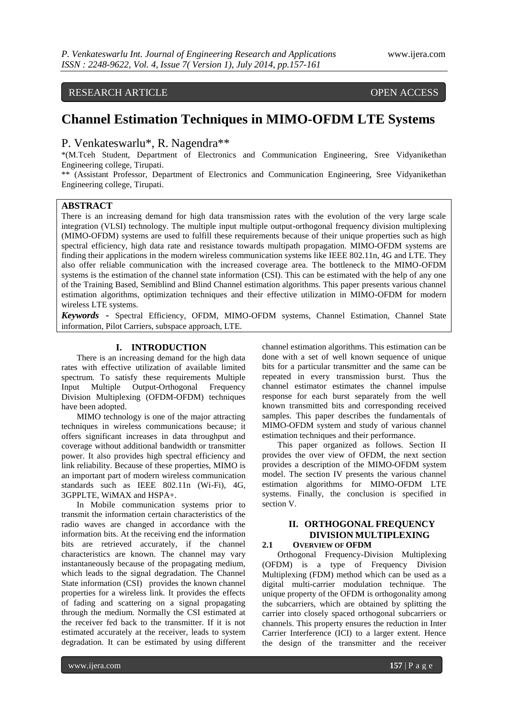# RESEARCH ARTICLE OPEN ACCESS

# **Channel Estimation Techniques in MIMO-OFDM LTE Systems**

# P. Venkateswarlu\*, R. Nagendra\*\*

\*(M.Tceh Student, Department of Electronics and Communication Engineering, Sree Vidyanikethan Engineering college, Tirupati.

\*\* (Assistant Professor, Department of Electronics and Communication Engineering, Sree Vidyanikethan Engineering college, Tirupati.

# **ABSTRACT**

There is an increasing demand for high data transmission rates with the evolution of the very large scale integration (VLSI) technology. The multiple input multiple output-orthogonal frequency division multiplexing (MIMO-OFDM) systems are used to fulfill these requirements because of their unique properties such as high spectral efficiency, high data rate and resistance towards multipath propagation. MIMO-OFDM systems are finding their applications in the modern wireless communication systems like IEEE 802.11n, 4G and LTE. They also offer reliable communication with the increased coverage area. The bottleneck to the MIMO-OFDM systems is the estimation of the channel state information (CSI). This can be estimated with the help of any one of the Training Based, Semiblind and Blind Channel estimation algorithms. This paper presents various channel estimation algorithms, optimization techniques and their effective utilization in MIMO-OFDM for modern wireless LTE systems.

*Keywords* - Spectral Efficiency, OFDM, MIMO-OFDM systems, Channel Estimation, Channel State information, Pilot Carriers, subspace approach, LTE.

### **I. INTRODUCTION**

There is an increasing demand for the high data rates with effective utilization of available limited spectrum. To satisfy these requirements Multiple Input Multiple Output-Orthogonal Frequency Division Multiplexing (OFDM-OFDM) techniques have been adopted.

MIMO technology is one of the major attracting techniques in wireless communications because; it offers significant increases in data throughput and coverage without additional bandwidth or transmitter power. It also provides high spectral efficiency and link reliability. Because of these properties, MIMO is an important part of modern wireless communication standards such as IEEE 802.11n (Wi-Fi), 4G, 3GPPLTE, WiMAX and HSPA+.

In Mobile communication systems prior to transmit the information certain characteristics of the radio waves are changed in accordance with the information bits. At the receiving end the information bits are retrieved accurately, if the channel characteristics are known. The channel may vary instantaneously because of the propagating medium, which leads to the signal degradation. The Channel State information (CSI) provides the known channel properties for a wireless link. It provides the effects of fading and scattering on a signal propagating through the medium. Normally the CSI estimated at the receiver fed back to the transmitter. If it is not estimated accurately at the receiver, leads to system degradation. It can be estimated by using different

channel estimation algorithms. This estimation can be done with a set of well known sequence of unique bits for a particular transmitter and the same can be repeated in every transmission burst. Thus the channel estimator estimates the channel impulse response for each burst separately from the well known transmitted bits and corresponding received samples. This paper describes the fundamentals of MIMO-OFDM system and study of various channel estimation techniques and their performance.

This paper organized as follows. Section II provides the over view of OFDM, the next section provides a description of the MIMO-OFDM system model. The section IV presents the various channel estimation algorithms for MIMO-OFDM LTE systems. Finally, the conclusion is specified in section V.

# **II. ORTHOGONAL FREQUENCY DIVISION MULTIPLEXING 2.1 OVERVIEW OF OFDM**

Orthogonal Frequency-Division Multiplexing (OFDM) is a type of Frequency Division Multiplexing (FDM) method which can be used as a digital multi-carrier modulation technique. The unique property of the OFDM is orthogonality among the subcarriers, which are obtained by splitting the carrier into closely spaced orthogonal subcarriers or channels. This property ensures the reduction in Inter Carrier Interference (ICI) to a larger extent. Hence the design of the transmitter and the receiver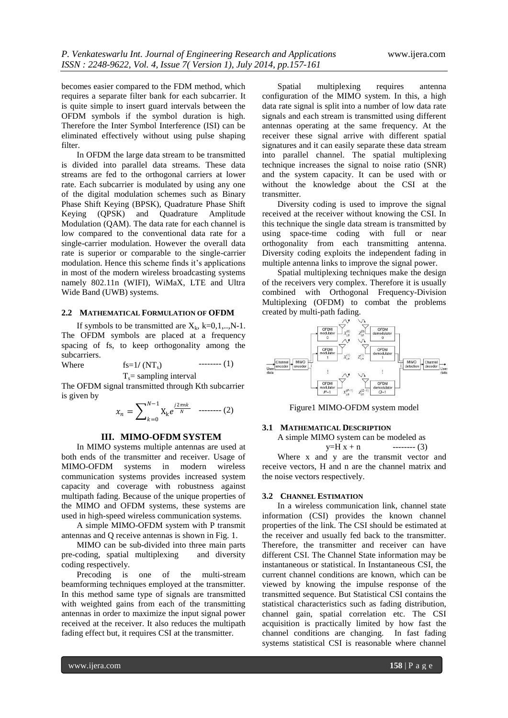becomes easier compared to the FDM method, which requires a separate filter bank for each subcarrier. It is quite simple to insert guard intervals between the OFDM symbols if the symbol duration is high. Therefore the Inter Symbol Interference (ISI) can be eliminated effectively without using pulse shaping filter.

In OFDM the large data stream to be transmitted is divided into parallel data streams. These data streams are fed to the orthogonal carriers at lower rate. Each subcarrier is modulated by using any one of the digital modulation schemes such as Binary Phase Shift Keying (BPSK), Quadrature Phase Shift<br>Keying (QPSK) and Quadrature Amplitude Keying (QPSK) and Quadrature Modulation (QAM). The data rate for each channel is low compared to the conventional data rate for a single-carrier modulation. However the overall data rate is superior or comparable to the single-carrier modulation. Hence this scheme finds it's applications in most of the modern wireless broadcasting systems namely 802.11n (WIFI), WiMaX, LTE and Ultra Wide Band (UWB) systems.

#### **2.2 MATHEMATICAL FORMULATION OF OFDM**

If symbols to be transmitted are  $X_k$ ,  $k=0,1,..,N-1$ . The OFDM symbols are placed at a frequency spacing of fs, to keep orthogonality among the subcarriers.  $When$ 

$$
fs=1/(NT_s) \t\t\t\t\t\t---(1)
$$

$$
T_s
$$
 = sampling interval

The OFDM signal transmitted through Kth subcarrier is given by

$$
x_n = \sum_{k=0}^{N-1} X_k e^{\frac{j2\pi nk}{N}} \quad \text{---} \quad (2)
$$

#### **III. MIMO-OFDM SYSTEM**

In MIMO systems multiple antennas are used at both ends of the transmitter and receiver. Usage of MIMO-OFDM systems in modern wireless communication systems provides increased system capacity and coverage with robustness against multipath fading. Because of the unique properties of the MIMO and OFDM systems, these systems are used in high-speed wireless communication systems.

A simple MIMO-OFDM system with P transmit antennas and Q receive antennas is shown in Fig. 1.

MIMO can be sub-divided into three main parts pre-coding, spatial multiplexing and diversity coding respectively.

Precoding is one of the multi-stream beamforming techniques employed at the transmitter. In this method same type of signals are transmitted with weighted gains from each of the transmitting antennas in order to maximize the input signal power received at the receiver. It also reduces the multipath fading effect but, it requires CSI at the transmitter.

Spatial multiplexing requires antenna configuration of the MIMO system. In this, a high data rate signal is split into a number of low data rate signals and each stream is transmitted using different antennas operating at the same frequency. At the receiver these signal arrive with different spatial signatures and it can easily separate these data stream into parallel channel. The spatial multiplexing technique increases the signal to noise ratio (SNR) and the system capacity. It can be used with or without the knowledge about the CSI at the transmitter.

Diversity coding is used to improve the signal received at the receiver without knowing the CSI. In this technique the single data stream is transmitted by using space-time coding with full or near orthogonality from each transmitting antenna. Diversity coding exploits the independent fading in multiple antenna links to improve the signal power.

Spatial multiplexing techniques make the design of the receivers very complex. Therefore it is usually combined with Orthogonal Frequency-Division Multiplexing (OFDM) to combat the problems created by multi-path fading.



Figure1 MIMO-OFDM system model

#### **3.1 MATHEMATICAL DESCRIPTION**

A simple MIMO system can be modeled as

y=H x + n -------- (3)

Where x and y are the transmit vector and receive vectors, H and n are the channel matrix and the noise vectors respectively.

#### **3.2 CHANNEL ESTIMATION**

In a wireless communication link, channel state information (CSI) provides the known channel properties of the link. The CSI should be estimated at the receiver and usually fed back to the transmitter. Therefore, the transmitter and receiver can have different CSI. The Channel State information may be instantaneous or statistical. In Instantaneous CSI, the current channel conditions are known, which can be viewed by knowing the impulse response of the transmitted sequence. But Statistical CSI contains the statistical characteristics such as fading distribution, channel gain, spatial correlation etc. The CSI acquisition is practically limited by how fast the channel conditions are changing. In fast fading systems statistical CSI is reasonable where channel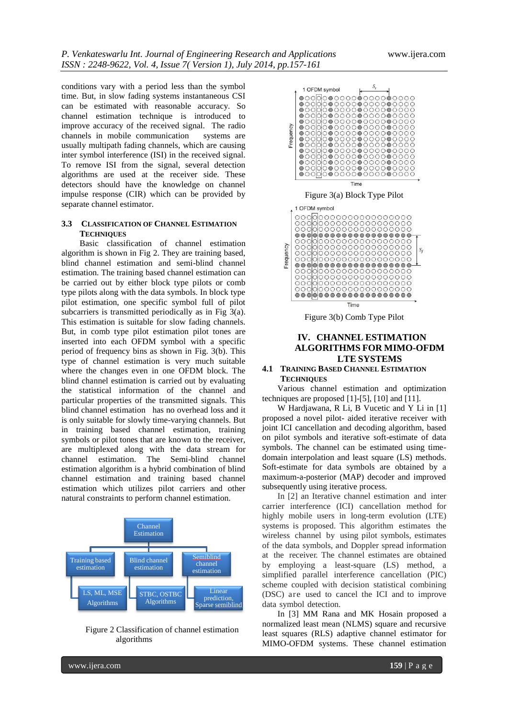conditions vary with a period less than the symbol time. But, in slow fading systems instantaneous CSI can be estimated with reasonable accuracy. So channel estimation technique is introduced to improve accuracy of the received signal. The radio channels in mobile communication systems are channels in mobile communication usually multipath fading channels, which are causing inter symbol interference (ISI) in the received signal. To remove ISI from the signal, several detection algorithms are used at the receiver side. These detectors should have the knowledge on channel impulse response (CIR) which can be provided by separate channel estimator.

## **3.3 CLASSIFICATION OF CHANNEL ESTIMATION TECHNIQUES**

Basic classification of channel estimation algorithm is shown in Fig 2. They are training based, blind channel estimation and semi-blind channel estimation. The training based channel estimation can be carried out by either block type pilots or comb type pilots along with the data symbols. In block type pilot estimation, one specific symbol full of pilot subcarriers is transmitted periodically as in Fig 3(a). This estimation is suitable for slow fading channels. But, in comb type pilot estimation pilot tones are inserted into each OFDM symbol with a specific period of frequency bins as shown in Fig. 3(b). This type of channel estimation is very much suitable where the changes even in one OFDM block. The blind channel estimation is carried out by evaluating the statistical information of the channel and particular properties of the transmitted signals. This blind channel estimation has no overhead loss and it is only suitable for slowly time-varying channels. But in training based channel estimation, training symbols or pilot tones that are known to the receiver, are multiplexed along with the data stream for channel estimation. The Semi-blind channel estimation algorithm is a hybrid combination of blind channel estimation and training based channel estimation which utilizes pilot carriers and other natural constraints to perform channel estimation.



Figure 2 Classification of channel estimation algorithms



# **IV. CHANNEL ESTIMATION ALGORITHMS FOR MIMO-OFDM LTE SYSTEMS**

## **4.1 TRAINING BASED CHANNEL ESTIMATION TECHNIQUES**

Various channel estimation and optimization techniques are proposed [\[1\]](#page-4-0)[-\[5\],](#page-4-1) [\[10\]](#page-4-2) and [\[11\].](#page-4-3)

W Hardjawana, R Li, B Vucetic and Y Li in [\[1\]](#page-4-0) proposed a novel pilot- aided iterative receiver with joint ICI cancellation and decoding algorithm, based on pilot symbols and iterative soft-estimate of data symbols. The channel can be estimated using timedomain interpolation and least square (LS) methods. Soft-estimate for data symbols are obtained by a maximum-a-posterior (MAP) decoder and improved subsequently using iterative process.

In [\[2\]](#page-4-4) an Iterative channel estimation and inter carrier interference (ICI) cancellation method for highly mobile users in long-term evolution (LTE) systems is proposed. This algorithm estimates the wireless channel by using pilot symbols, estimates of the data symbols, and Doppler spread information at the receiver. The channel estimates are obtained by employing a least-square (LS) method, a simplified parallel interference cancellation (PIC) scheme coupled with decision statistical combining (DSC) are used to cancel the ICI and to improve data symbol detection.

In [\[3\]](#page-4-5) MM Rana and MK Hosain proposed a normalized least mean (NLMS) square and recursive least squares (RLS) adaptive channel estimator for MIMO-OFDM systems. These channel estimation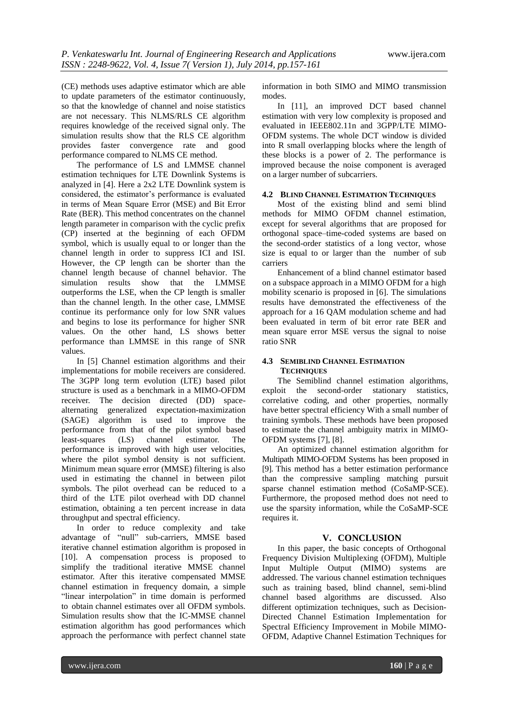(CE) methods uses adaptive estimator which are able to update parameters of the estimator continuously, so that the knowledge of channel and noise statistics are not necessary. This NLMS/RLS CE algorithm requires knowledge of the received signal only. The simulation results show that the RLS CE algorithm provides faster convergence rate and good performance compared to NLMS CE method.

The performance of LS and LMMSE channel estimation techniques for LTE Downlink Systems is analyzed in [\[4\].](#page-4-6) Here a 2x2 LTE Downlink system is considered, the estimator's performance is evaluated in terms of Mean Square Error (MSE) and Bit Error Rate (BER). This method concentrates on the channel length parameter in comparison with the cyclic prefix (CP) inserted at the beginning of each OFDM symbol, which is usually equal to or longer than the channel length in order to suppress ICI and ISI. However, the CP length can be shorter than the channel length because of channel behavior. The simulation results show that the LMMSE outperforms the LSE, when the CP length is smaller than the channel length. In the other case, LMMSE continue its performance only for low SNR values and begins to lose its performance for higher SNR values. On the other hand, LS shows better performance than LMMSE in this range of SNR values.

In [\[5\]](#page-4-1) Channel estimation algorithms and their implementations for mobile receivers are considered. The 3GPP long term evolution (LTE) based pilot structure is used as a benchmark in a MIMO-OFDM receiver. The decision directed (DD) spacealternating generalized expectation-maximization (SAGE) algorithm is used to improve the performance from that of the pilot symbol based least-squares (LS) channel estimator. The performance is improved with high user velocities, where the pilot symbol density is not sufficient. Minimum mean square error (MMSE) filtering is also used in estimating the channel in between pilot symbols. The pilot overhead can be reduced to a third of the LTE pilot overhead with DD channel estimation, obtaining a ten percent increase in data throughput and spectral efficiency.

In order to reduce complexity and take advantage of "null" sub-carriers, MMSE based iterative channel estimation algorithm is proposed in [\[10\].](#page-4-2) A compensation process is proposed to simplify the traditional iterative MMSE channel estimator. After this iterative compensated MMSE channel estimation in frequency domain, a simple "linear interpolation" in time domain is performed to obtain channel estimates over all OFDM symbols. Simulation results show that the IC-MMSE channel estimation algorithm has good performances which approach the performance with perfect channel state information in both SIMO and MIMO transmission modes.

In [\[11\],](#page-4-3) an improved DCT based channel estimation with very low complexity is proposed and evaluated in IEEE802.11n and 3GPP/LTE MIMO-OFDM systems. The whole DCT window is divided into R small overlapping blocks where the length of these blocks is a power of 2. The performance is improved because the noise component is averaged on a larger number of subcarriers.

# **4.2 BLIND CHANNEL ESTIMATION TECHNIQUES**

Most of the existing blind and semi blind methods for MIMO OFDM channel estimation, except for several algorithms that are proposed for orthogonal space–time-coded systems are based on the second-order statistics of a long vector, whose size is equal to or larger than the number of sub carriers

Enhancement of a blind channel estimator based on a subspace approach in a MIMO OFDM for a high mobility scenario is proposed in [\[6\].](#page-4-7) The simulations results have demonstrated the effectiveness of the approach for a 16 QAM modulation scheme and had been evaluated in term of bit error rate BER and mean square error MSE versus the signal to noise ratio SNR

## **4.3 SEMIBLIND CHANNEL ESTIMATION TECHNIQUES**

The Semiblind channel estimation algorithms, exploit the second-order stationary statistics, correlative coding, and other properties, normally have better spectral efficiency With a small number of training symbols. These methods have been proposed to estimate the channel ambiguity matrix in MIMO-OFDM systems [\[7\],](#page-4-8) [\[8\].](#page-4-9)

An optimized channel estimation algorithm for Multipath MIMO-OFDM Systems has been proposed in [\[9\].](#page-4-10) This method has a better estimation performance than the compressive sampling matching pursuit sparse channel estimation method (CoSaMP-SCE). Furthermore, the proposed method does not need to use the sparsity information, while the CoSaMP-SCE requires it.

# **V. CONCLUSION**

In this paper, the basic concepts of Orthogonal Frequency Division Multiplexing (OFDM), Multiple Input Multiple Output (MIMO) systems are addressed. The various channel estimation techniques such as training based, blind channel, semi-blind channel based algorithms are discussed. Also different optimization techniques, such as Decision-Directed Channel Estimation Implementation for Spectral Efficiency Improvement in Mobile MIMO-OFDM, Adaptive Channel Estimation Techniques for